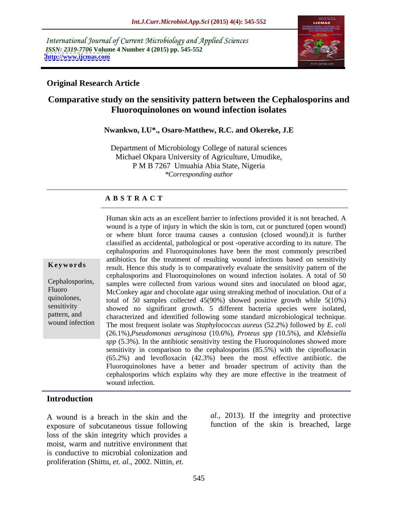International Journal of Current Microbiology and Applied Sciences *ISSN: 2319-7706* **Volume 4 Number 4 (2015) pp. 545-552 <http://www.ijcmas.com>**



## **Original Research Article**

# **Comparative study on the sensitivity pattern between the Cephalosporins and Fluoroquinolones on wound infection isolates**

### **Nwankwo, I.U\*., Osaro-Matthew, R.C. and Okereke, J.E**

Department of Microbiology College of natural sciences Michael Okpara University of Agriculture, Umudike, P M B 7267 Umuahia Abia State, Nigeria *\*Corresponding author*

### **A B S T R A C T**

wound infection

Human skin acts as an excellent barrier to infections provided it is not breached. A wound is a type of injury in which the skin is torn, cut or punctured (open wound) or where blunt force trauma causes a contusion (closed wound).it is further classified as accidental, pathological or post -operative according to its nature. The cephalosporins and Fluoroquinolones have been the most commonly prescribed antibiotics for the treatment of resulting wound infections based on sensitivity **Keywords** result. Hence this study is to comparatively evaluate the sensitivity pattern of the cephalosporins and Fluoroquinolones on wound infection isolates. A total of 50 Cephalosporins, samples were collected from various wound sites and inoculated on blood agar, Fluoro<br>McConkey agar and chocolate agar using streaking method of inoculation. Out of a quinolones, total of 50 samples collected  $45(90%)$  showed positive growth while  $5(10%)$  $sensitivity$  showed no significant growth. 5 different bacteria species were isolated, pattern, and characterized and identified following some standard microbiological technique. The most frequent isolate was *Staphylococcus aureus* (52.2%) followed by *E. coli* (26.1%),*Pseudomonas aeruginosa* (10.6%), *Proteus spp (*10.5%), and *Klebsiella spp* (5.3%). In the antibiotic sensitivity testing the Fluoroquinolones showed more sensitivity in comparison to the cephalosporins (85.5%) with the ciprofloxacin (65.2%) and levofloxacin (42.3%) been the most effective antibiotic. the Fluoroquinolones have a better and broader spectrum of activity than the cephalosporins which explains why they are more effective in the treatment of wound infection.

# **Introduction**

A wound is a breach in the skin and the exposure of subcutaneous tissue following loss of the skin integrity which provides a moist, warm and nutritive environment that is conductive to microbial colonization and proliferation (Shittu, *et. al.*, 2002. Nittin, *et.* 

*al.,* 2013). If the integrity and protective function of the skin is breached, large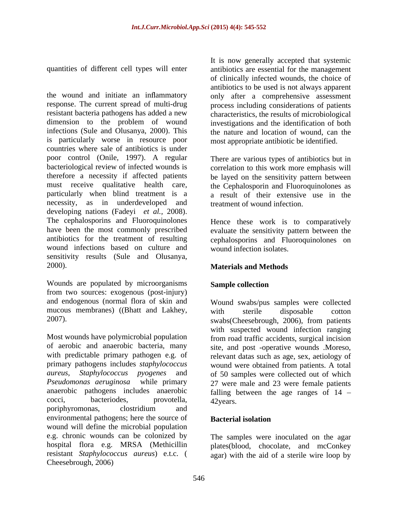the wound and initiate an inflammatory only after a comprehensive assessment response. The current spread of multi-drug process including considerations of patients resistant bacteria pathogens has added a new characteristics, the results of microbiological dimension to the problem of wound investigations and the identification of both infections (Sule and Olusanya, 2000). This the nature and location of wound, can the is particularly worse in resource poor countries where sale of antibiotics is under poor control (Onile, 1997). A regular There are various types of antibiotics but in bacteriological review of infected wounds is therefore a necessity if affected patients be layed on the sensitivity pattern between must receive qualitative health care, the Cephalosporin and Fluoroquinolones as particularly when blind treatment is a necessity, as in underdeveloped and developing nations (Fadeyi *et al.,* 2008). The cephalosporins and Fluoroquinolones Hence these work is to comparatively have been the most commonly prescribed evaluate the sensitivity pattern between the antibiotics for the treatment of resulting cephalosporins and Fluoroquinolones on wound infections based on culture and sensitivity results (Sule and Olusanya,

2000).<br> **Materials and Methods**<br> **Wounds are populated by microorganisms Sample collection** from two sources: exogenous (post-injury) and endogenous (normal flora of skin and mucous membranes) ((Bhatt and Lakhey,

Most wounds have polymicrobial population from road traffic accidents, surgical incision of aerobic and anaerobic bacteria, many site, and post -operative wounds .Moreso, with predictable primary pathogen e.g. of relevant datas such as age, sex, aetiology of primary pathogens includes *staphylococcus aureus*, *Staphylococcus pyogenes* and of 50 samples were collected out of which *Pseudomonas aeruginosa* while primary 27 were male and 23 were female patients anaerobic pathogens includes anaerobic falling between the age ranges of 14 cocci, bacteriodes, provotella, 42 vears. poriphyromonas, clostridium and environmental pathogens; here the source of **Bacterial isolation** wound will define the microbial population e.g. chronic wounds can be colonized by hospital flora e.g. MRSA (Methicillin plates(blood, chocolate, and mcConkey resistant *Staphylococcus aureus*) e.t.c. ( agar) with the aid of a sterile wire loop byCheesebrough, 2006)

quantities of different cell types will enter antibiotics are essential for the management It is now generally accepted that systemic of clinically infected wounds, the choice of antibiotics to be used is not always apparent most appropriate antibiotic be identified.

> correlation to this work more emphasis will a result of their extensive use in the treatment of wound infection.

> wound infection isolates.

# **Materials and Methods**

### **Sample collection**

2007). swabs(Cheesebrough, 2006), from patients Wound swabs/pus samples were collected with sterile disposable cotton with suspected wound infection ranging wound were obtained from patients. A total 42years.

### **Bacterial isolation**

The samples were inoculated on the agar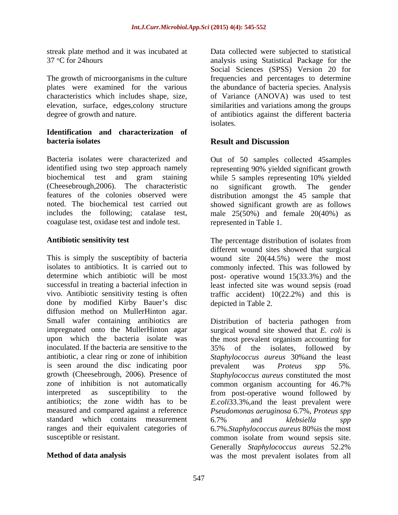### **Identification and characterization of bacteria isolates bacteria isolates bacteria isolates bacteria** isolates **bacteria** isolates **b**

Bacteria isolates were characterized and Out of 50 samples collected 45samples identified using two step approach namely representing 90% yielded significant growth biochemical test and gram staining while 5 samples representing 10% yielded (Cheesebrough,2006). The characteristic features of the colonies observed were distribution amongst the 45 sample that noted. The biochemical test carried out showed significant growth are as follows includes the following; catalase test, male 25(50%) and female 20(40%) as coagulase test, oxidase test and indole test.

This is simply the susceptibity of bacteria wound site 20(44.5%) were the most isolates to antibiotics. It is carried out to commonly infected. This was followed by determine which antibiotic will be most post- operative wound 15(33.3%) and the successful in treating a bacterial infection in least infected site was wound sepsis (road vivo. Antibiotic sensitivity testing is often traffic accident) 10(22.2%) and this is done by modified Kirby Bauer's disc diffusion method on MullerHinton agar. Small wafer containing antibiotics are Distribution of bacteria pathogen from impregnated onto the MullerHinton agar surgical wound site showed that *E. coli* is upon which the bacteria isolate was the most prevalent organism accounting for inoculated. If the bacteria are sensitive to the 35% of the isolates, followed by antibiotic, a clear ring or zone of inhibition is seen around the disc indicating poor being prevalent was *Proteus* spp 5%. growth (Cheesebrough, 2006). Presence of *Staphylococcus aureus* constituted the most zone of inhibition is not automatically common organism accounting for 46.7% interpreted as susceptibility to the from post-operative wound followed by antibiotics; the zone width has to be *E.coli*33.3%,and the least prevalent were measured and compared against a reference *Pseudomonas aeruginosa* 6.7%, *Proteus spp* standard which contains measurement 6.7% and klebsiella spp ranges and their equivalent categories of 6.7%.*Staphylococcus aureus* 80%is the most

streak plate method and it was incubated at Data collected were subjected to statistical 37 °C for 24 hours analysis using Statistical Package for the The growth of microorganisms in the culture frequencies and percentages to determine plates were examined for the various the abundance of bacteria species. Analysis characteristics which includes shape, size, of Variance (ANOVA) was used to test elevation, surface, edges,colony structure similarities and variations among the groups degree of growth and nature. The same of antibiotics against the different bacteria Social Sciences (SPSS) Version 20 for isolates.

# **Result and Discussion**

no significant growth. The gender represented in Table 1.

Antibiotic sensitivity test **The percentage distribution of isolates from** different wound sites showed that surgical depicted in Table 2.

susceptible or resistant. common isolate from wound sepsis site. **Method of data analysis** was the most prevalent isolates from all35% of the isolates, followed by *Staphylococcus aureus* 30%and the least prevalent was *Proteus spp* 5%. common organism accounting for 46.7% 6.7% and *klebsiella spp* Generally *Staphylococcus aureus* 52.2%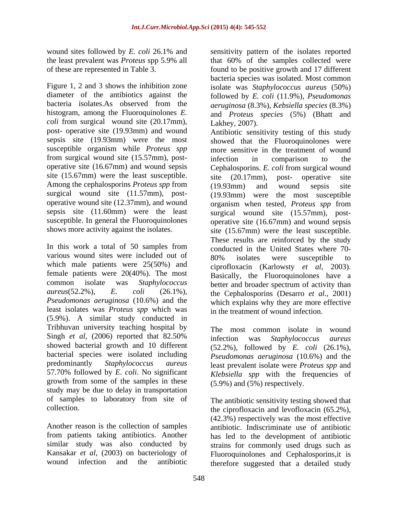*coli* from surgical wound site (20.17mm), post- operative site (19.93mm) and wound from surgical wound site (15.57mm), post site (15.67mm) were the least susceptible.  $\frac{1}{\text{site}}$  (20.17mm), post- operative site Among the cephalosporins *Proteus spp* from (19.93mm) and wound sepsis site

In this work a total of 50 samples from various wound sites were included out of 80% isolates were susceptible to which male patients were 25(50%) and female patients were 20(40%). The most *Pseudomonas aeruginosa* (10.6%) and the least isolates was *Proteus spp* which was (5.9%). A similar study conducted in Tribhuvan university teaching hospital by Singh *et al*, (2006) reported that 82.50% showed bacterial growth and 10 different bacterial species were isolated including predominantly *Staphylococcus aureus* least prevalent isolate were *Proteus spp* and 57.70% followed by *E. coli*. No significant growth from some of the samples in these study may be due to delay in transportation of samples to laboratory from site of The antibiotic sensitivity testing showed that

Another reason is the collection of samples

wound sites followed by *E. coli* 26.1% and sensitivity pattern of the isolates reported the least prevalent was *Proteus* spp 5.9% all that 60% of the samples collected were of these are represented in Table 3. found to be positive growth and 17 different Figure 1, 2 and 3 shows the inhibition zone isolate was *Staphylococcus aureus* (50%) diameter of the antibiotics against the followed by *E. coli* (11.9%), *Pseudomonas*  bacteria isolates.As observed from the *aeruginosa* (8.3%), *Kebsiella species* (8.3%) histogram, among the Fluoroquinolones *E.*  and *Proteus species* (5%) (Bhatt and bacteria species was isolated. Most common Lakhey, 2007).

sepsis site (19.93mm) were the most showed that the Fluoroquinolones were susceptible organism while *Proteus spp* more sensitive in the treatment of wound operative site (16.67mm) and wound sepsis Cephalosporins. *E. coli* from surgical wound surgical wound site (11.57mm), post- (19.93mm) were the most susceptible operative wound site (12.37mm), and wound organism when tested, *Proteus spp* from sepsis site (11.60mm) were the least surgical wound site (15.57mm), post susceptible. In general the Fluoroquinolones operative site (16.67mm) and wound sepsis shows more activity against the isolates. site (15.67mm) were the least susceptible. common isolate was *Staphylococcus*  better and broader spectrum of activity than *aureus*(52.2%), *E. coli* (26.1%), the Cephalosporins (Desarro *et al.*, 2001) Antibiotic sensitivity testing of this study infection in comparison to the site (20.17mm), post- operative site (19.93mm) and wound sepsis site These results are reinforced by the study conducted in the United States where 70- 80% isolates were susceptible to ciprofloxacin (Karlowsty *et al*, 2003). Basically, the Fluoroquinolones have a which explains why they are more effective in the treatment of wound infection.

> The most common isolate in wound infection was *Staphylococcus aureus* (52.2%), followed by *E. coli* (26.1%), *Pseudomonas aeruginosa* (10.6%) and the *Klebsiella spp* with the frequencies of (5.9%) and (5%) respectively.

collection. the ciprofloxacin and levofloxacin (65.2%), from patients taking antibiotics. Another has led to the development of antibiotic similar study was also conducted by strains for commonly used drugs such as Kansakar *et al*, (2003) on bacteriology of Fluoroquinolones and Cephalosporins,it is wound infection and the antibiotic therefore suggested that a detailed study (42.3%) respectively was the most effective antibiotic. Indiscriminate use of antibiotic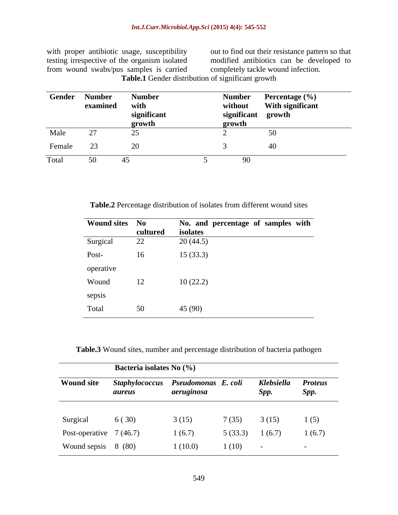testing irrespective of the organism isolated modified antibiotics can be developed to from wound swabs/pus samples is carried

with proper antibiotic usage, susceptibility out to find out their resistance pattern so that completely tackle wound infection.

**Table.1** Gender distribution of significant growth

| Gender | <b>Number</b><br>examined | <b>Number</b><br>with<br>significant<br>growth | <b>Number</b><br>without<br>significant growth<br>growth | Percentage (%)<br>With significant |
|--------|---------------------------|------------------------------------------------|----------------------------------------------------------|------------------------------------|
|        |                           |                                                |                                                          |                                    |
|        |                           |                                                |                                                          |                                    |
| Female |                           |                                                |                                                          |                                    |
|        |                           |                                                |                                                          |                                    |

**Table.2** Percentage distribution of isolates from different wound sites

| Wound sites No |          | No. and percentage of samples with |
|----------------|----------|------------------------------------|
|                | cultured | isolates                           |
| Surgical       | 22       | 20(44.5)                           |
| Post-          | 16       | 15(33.3)                           |
| operative      |          |                                    |
| Wound          | 12       | 10(22.2)                           |
| sepsis         |          |                                    |
| Total          | 50       | 45 (90)                            |

**Table.3** Wound sites, number and percentage distribution of bacteria pathogen

|                          | Bacteria isolates No (%) |                                                  |         |                    |                        |  |
|--------------------------|--------------------------|--------------------------------------------------|---------|--------------------|------------------------|--|
| <b>Wound site</b>        | aureus                   | Staphylococcus Pseudomonas E. coli<br>aeruginosa |         | Klebsiella<br>Spp. | <b>Proteus</b><br>Spp. |  |
|                          |                          |                                                  |         |                    |                        |  |
| Surgical                 | 6(30)                    | 3(15)                                            | 7(35)   | 3(15)              | 1(5)                   |  |
| Post-operative $7(46.7)$ |                          | 1(6.7)                                           | 5(33.3) | 1(6.7)             | 1(6.7)                 |  |
| Wound sepsis 8 (80)      |                          | 1(10.0)                                          | 1(10)   | $\sim$             | $\sim$                 |  |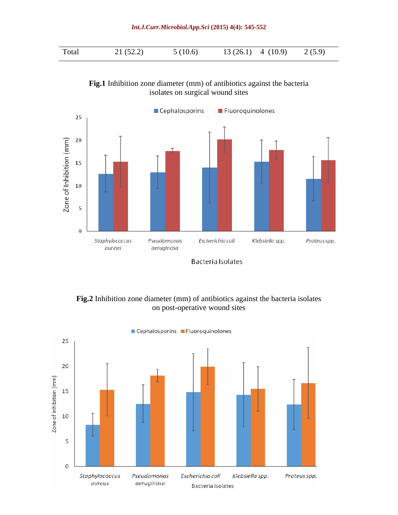| (59) |  |  |  |
|------|--|--|--|
|------|--|--|--|





**Fig.2** Inhibition zone diameter (mm) of antibiotics against the bacteria isolates on post-operative wound sites

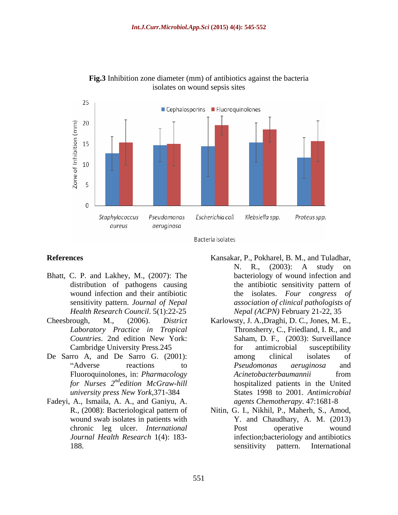

**Fig.3** Inhibition zone diameter (mm) of antibiotics against the bacteria isolates on wound sepsis sites



- Bhatt, C. P. and Lakhey, M., (2007): The distribution of pathogens causing sensitivity pattern. *Journal of Nepal Health Research Council*. 5(1):22-25
- *Laboratory Practice in Tropical*
- 
- Fadeyi, A., Ismaila, A. A., and Ganiyu, A.
- **References** Kansakar, P., Pokharel, B. M., and Tuladhar, wound infection and their antibiotic the isolates. *Four congress of* N. R., (2003): A study on bacteriology of wound infection and the antibiotic sensitivity pattern of *association of clinical pathologists of Nepal (ACPN)* February 21-22, 35
- Cheesbrough, M., (2006). *District*  Karlowsty, J. A.,Draghi, D. C., Jones, M. E., *Countries*. 2nd edition New York: Cambridge University Press*.*245 De Sarro A, and De Sarro G. (2001): among clinical isolates of Adverse reactions to *Pseudomonas aeruginosa* and Fluoroquinolones, in: *Pharmacology Acinetobacterbaumannii* from *for Nurses*  $2^{nd}$ *edition McGraw-hill* **hospitalized patients in the United** for *Nurses*  $2^{nd}$  *edition McGraw-hill* **bospitalized** patients in the United *university press New York,*371-384 States 1998 to 2001.*Antimicrobial*  Thronsherry, C., Friedland, I. R., and Saham, D. F., (2003): Surveillance for antimicrobial susceptibility among clinical isolates of *Pseudomonas aeruginosa* and *Acinetobacterbaumannii* from *agents Chemotherapy*. 47:1681-8
	- R., (2008): Bacteriological pattern of Nitin, G. I., Nikhil, P., Maherh, S., Amod, wound swab isolates in patients with Y. and Chaudhary, A. M. (2013) chronic leg ulcer. *International Journal Health Research* 1(4): 183- infection;bacteriology and antibiotics 188. **188.** Sensitivity pattern. International Post operative wound sensitivity pattern. International